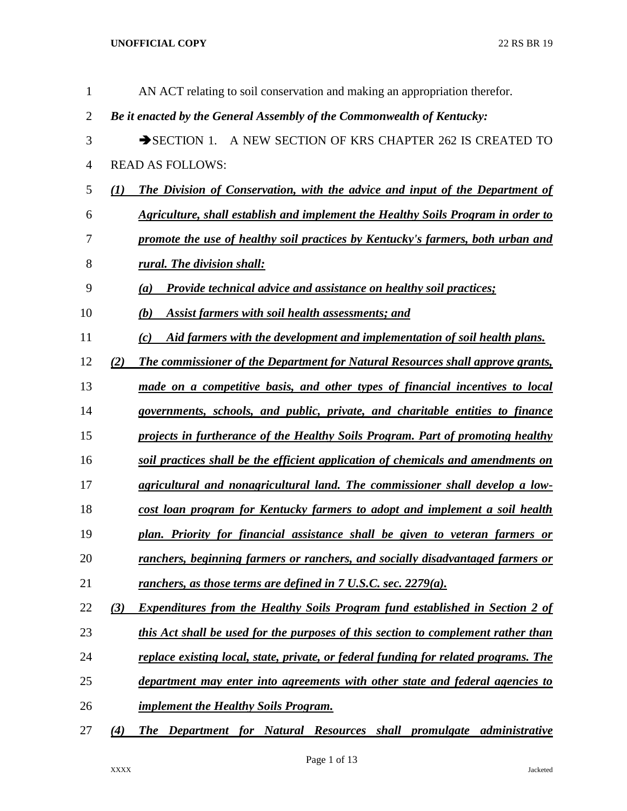| $\mathbf{1}$   |     | AN ACT relating to soil conservation and making an appropriation therefor.           |
|----------------|-----|--------------------------------------------------------------------------------------|
| $\overline{2}$ |     | Be it enacted by the General Assembly of the Commonwealth of Kentucky:               |
| 3              |     | A NEW SECTION OF KRS CHAPTER 262 IS CREATED TO<br>$\rightarrow$ SECTION 1.           |
| 4              |     | <b>READ AS FOLLOWS:</b>                                                              |
| 5              | (1) | The Division of Conservation, with the advice and input of the Department of         |
| 6              |     | Agriculture, shall establish and implement the Healthy Soils Program in order to     |
| 7              |     | promote the use of healthy soil practices by Kentucky's farmers, both urban and      |
| 8              |     | rural. The division shall:                                                           |
| 9              |     | <b>Provide technical advice and assistance on healthy soil practices;</b><br>(a)     |
| 10             |     | <b>Assist farmers with soil health assessments; and</b><br>(b)                       |
| 11             |     | Aid farmers with the development and implementation of soil health plans.<br>(c)     |
| 12             | (2) | The commissioner of the Department for Natural Resources shall approve grants,       |
| 13             |     | made on a competitive basis, and other types of financial incentives to local        |
| 14             |     | governments, schools, and public, private, and charitable entities to finance        |
| 15             |     | projects in furtherance of the Healthy Soils Program. Part of promoting healthy      |
| 16             |     | soil practices shall be the efficient application of chemicals and amendments on     |
| 17             |     | agricultural and nonagricultural land. The commissioner shall develop a low-         |
| 18             |     | cost loan program for Kentucky farmers to adopt and implement a soil health          |
| 19             |     | plan. Priority for financial assistance shall be given to veteran farmers or         |
| 20             |     | ranchers, beginning farmers or ranchers, and socially disadvantaged farmers or       |
| 21             |     | <u>ranchers, as those terms are defined in 7 U.S.C. sec. 2279(a).</u>                |
| 22             | (3) | <b>Expenditures from the Healthy Soils Program fund established in Section 2 of</b>  |
| 23             |     | this Act shall be used for the purposes of this section to complement rather than    |
| 24             |     | replace existing local, state, private, or federal funding for related programs. The |
| 25             |     | department may enter into agreements with other state and federal agencies to        |
| 26             |     | <u><b>implement the Healthy Soils Program.</b></u>                                   |
| 27             | (4) | The Department for Natural Resources shall promulgate administrative                 |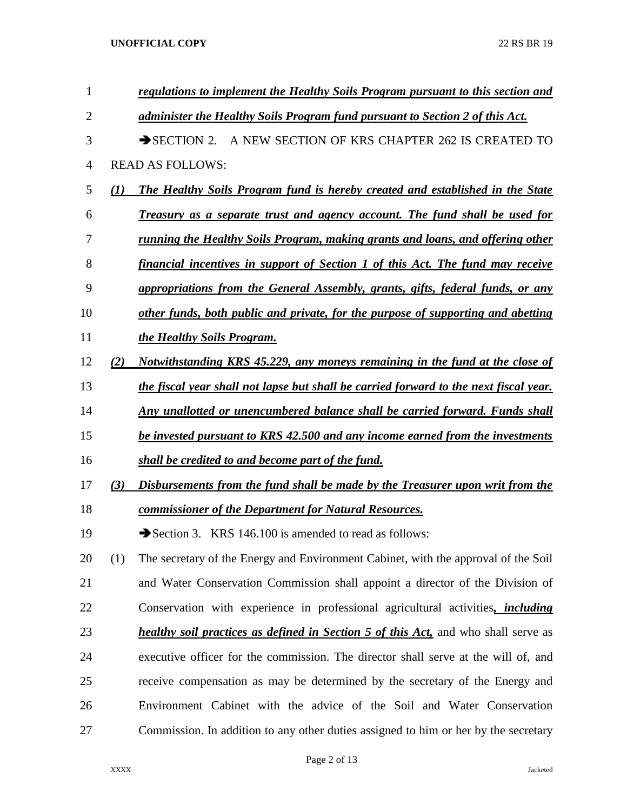| 1  |     | regulations to implement the Healthy Soils Program pursuant to this section and            |
|----|-----|--------------------------------------------------------------------------------------------|
| 2  |     | administer the Healthy Soils Program fund pursuant to Section 2 of this Act.               |
| 3  |     | A NEW SECTION OF KRS CHAPTER 262 IS CREATED TO<br>$\rightarrow$ SECTION 2.                 |
| 4  |     | <b>READ AS FOLLOWS:</b>                                                                    |
| 5  | (1) | The Healthy Soils Program fund is hereby created and established in the State              |
| 6  |     | Treasury as a separate trust and agency account. The fund shall be used for                |
| 7  |     | <u>running the Healthy Soils Program, making grants and loans, and offering other</u>      |
| 8  |     | financial incentives in support of Section 1 of this Act. The fund may receive             |
| 9  |     | appropriations from the General Assembly, grants, gifts, federal funds, or any             |
| 10 |     | other funds, both public and private, for the purpose of supporting and abetting           |
| 11 |     | the Healthy Soils Program.                                                                 |
| 12 | (2) | Notwithstanding KRS 45.229, any moneys remaining in the fund at the close of               |
| 13 |     | the fiscal year shall not lapse but shall be carried forward to the next fiscal year.      |
| 14 |     | Any unallotted or unencumbered balance shall be carried forward. Funds shall               |
| 15 |     | be invested pursuant to KRS 42.500 and any income earned from the investments              |
| 16 |     | shall be credited to and become part of the fund.                                          |
| 17 | (3) | Disbursements from the fund shall be made by the Treasurer upon writ from the              |
| 18 |     | commissioner of the Department for Natural Resources.                                      |
| 19 |     | Section 3. KRS 146.100 is amended to read as follows:                                      |
| 20 | (1) | The secretary of the Energy and Environment Cabinet, with the approval of the Soil         |
| 21 |     | and Water Conservation Commission shall appoint a director of the Division of              |
| 22 |     | Conservation with experience in professional agricultural activities, <i>including</i>     |
| 23 |     | <i>healthy soil practices as defined in Section 5 of this Act</i> , and who shall serve as |
| 24 |     | executive officer for the commission. The director shall serve at the will of, and         |
| 25 |     | receive compensation as may be determined by the secretary of the Energy and               |
| 26 |     | Environment Cabinet with the advice of the Soil and Water Conservation                     |
| 27 |     | Commission. In addition to any other duties assigned to him or her by the secretary        |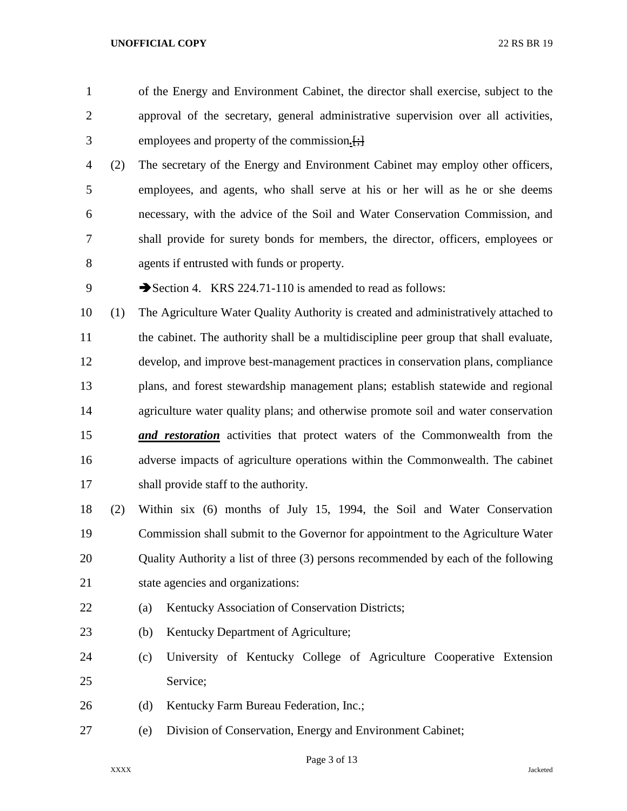- of the Energy and Environment Cabinet, the director shall exercise, subject to the approval of the secretary, general administrative supervision over all activities, employees and property of the commission*.*[;]
- (2) The secretary of the Energy and Environment Cabinet may employ other officers, employees, and agents, who shall serve at his or her will as he or she deems necessary, with the advice of the Soil and Water Conservation Commission, and shall provide for surety bonds for members, the director, officers, employees or agents if entrusted with funds or property.
- 9 Section 4. KRS 224.71-110 is amended to read as follows:
- (1) The Agriculture Water Quality Authority is created and administratively attached to 11 the cabinet. The authority shall be a multidiscipline peer group that shall evaluate, develop, and improve best-management practices in conservation plans, compliance plans, and forest stewardship management plans; establish statewide and regional agriculture water quality plans; and otherwise promote soil and water conservation *and restoration* activities that protect waters of the Commonwealth from the adverse impacts of agriculture operations within the Commonwealth. The cabinet shall provide staff to the authority.
- (2) Within six (6) months of July 15, 1994, the Soil and Water Conservation Commission shall submit to the Governor for appointment to the Agriculture Water 20 Quality Authority a list of three (3) persons recommended by each of the following state agencies and organizations:
- 22 (a) Kentucky Association of Conservation Districts;
- (b) Kentucky Department of Agriculture;
- (c) University of Kentucky College of Agriculture Cooperative Extension Service;
- 26 (d) Kentucky Farm Bureau Federation, Inc.;
- (e) Division of Conservation, Energy and Environment Cabinet;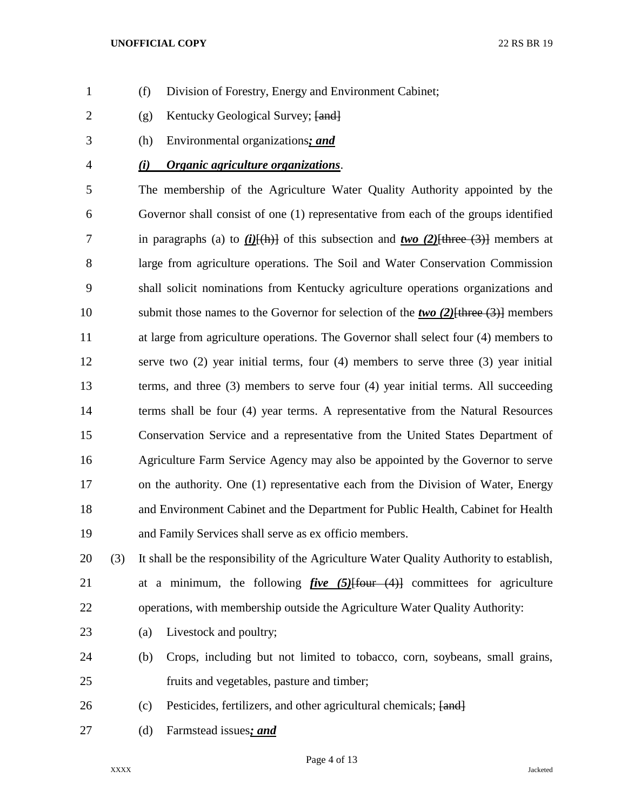- (f) Division of Forestry, Energy and Environment Cabinet;
- 2 (g) Kentucky Geological Survey; [and]
- (h) Environmental organizations*; and*
- *(i) Organic agriculture organizations*.

 The membership of the Agriculture Water Quality Authority appointed by the Governor shall consist of one (1) representative from each of the groups identified in paragraphs (a) to *(i)*[(h)] of this subsection and *two (2)*[three (3)] members at large from agriculture operations. The Soil and Water Conservation Commission shall solicit nominations from Kentucky agriculture operations organizations and submit those names to the Governor for selection of the *two (2)*[three (3)] members at large from agriculture operations. The Governor shall select four (4) members to serve two (2) year initial terms, four (4) members to serve three (3) year initial terms, and three (3) members to serve four (4) year initial terms. All succeeding terms shall be four (4) year terms. A representative from the Natural Resources Conservation Service and a representative from the United States Department of Agriculture Farm Service Agency may also be appointed by the Governor to serve on the authority. One (1) representative each from the Division of Water, Energy and Environment Cabinet and the Department for Public Health, Cabinet for Health and Family Services shall serve as ex officio members.

 (3) It shall be the responsibility of the Agriculture Water Quality Authority to establish, at a minimum, the following *five (5)*[four (4)] committees for agriculture operations, with membership outside the Agriculture Water Quality Authority:

- 23 (a) Livestock and poultry;
- (b) Crops, including but not limited to tobacco, corn, soybeans, small grains, fruits and vegetables, pasture and timber;
- 26 (c) Pesticides, fertilizers, and other agricultural chemicals;  $\{$ and $\}$
- (d) Farmstead issues*; and*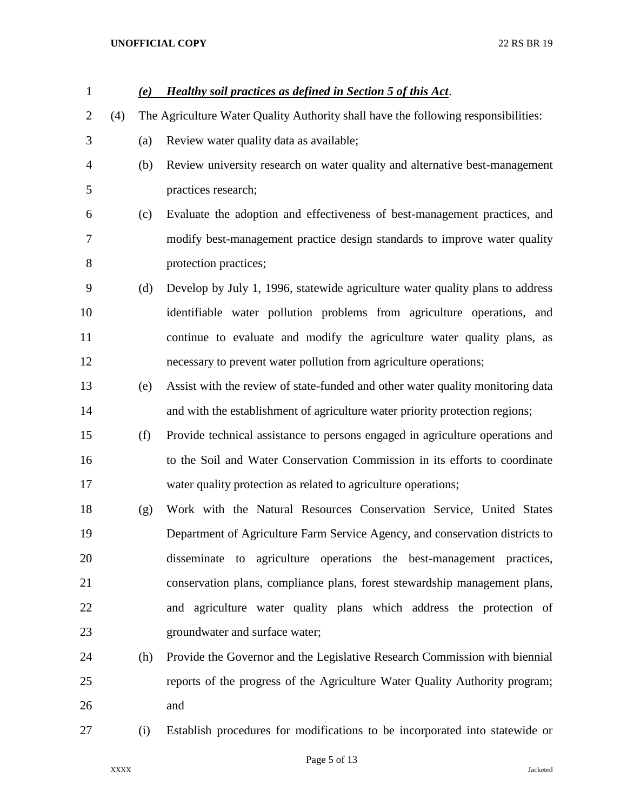| $\mathbf{1}$   |     | (e) | <b>Healthy soil practices as defined in Section 5 of this Act.</b>                 |
|----------------|-----|-----|------------------------------------------------------------------------------------|
| $\overline{2}$ | (4) |     | The Agriculture Water Quality Authority shall have the following responsibilities: |
| 3              |     | (a) | Review water quality data as available;                                            |
| 4              |     | (b) | Review university research on water quality and alternative best-management        |
| 5              |     |     | practices research;                                                                |
| 6              |     | (c) | Evaluate the adoption and effectiveness of best-management practices, and          |
| 7              |     |     | modify best-management practice design standards to improve water quality          |
| 8              |     |     | protection practices;                                                              |
| 9              |     | (d) | Develop by July 1, 1996, statewide agriculture water quality plans to address      |
| 10             |     |     | identifiable water pollution problems from agriculture operations, and             |
| 11             |     |     | continue to evaluate and modify the agriculture water quality plans, as            |
| 12             |     |     | necessary to prevent water pollution from agriculture operations;                  |
| 13             |     | (e) | Assist with the review of state-funded and other water quality monitoring data     |
| 14             |     |     | and with the establishment of agriculture water priority protection regions;       |
| 15             |     | (f) | Provide technical assistance to persons engaged in agriculture operations and      |
| 16             |     |     | to the Soil and Water Conservation Commission in its efforts to coordinate         |
| 17             |     |     | water quality protection as related to agriculture operations;                     |
| 18             |     | (g) | Work with the Natural Resources Conservation Service, United States                |
| 19             |     |     | Department of Agriculture Farm Service Agency, and conservation districts to       |
| 20             |     |     | disseminate to agriculture operations the best-management practices,               |
| 21             |     |     | conservation plans, compliance plans, forest stewardship management plans,         |
| 22             |     |     | and agriculture water quality plans which address the protection of                |
| 23             |     |     | groundwater and surface water;                                                     |
| 24             |     | (h) | Provide the Governor and the Legislative Research Commission with biennial         |
| 25             |     |     | reports of the progress of the Agriculture Water Quality Authority program;        |
| 26             |     |     | and                                                                                |
| 27             |     | (i) | Establish procedures for modifications to be incorporated into statewide or        |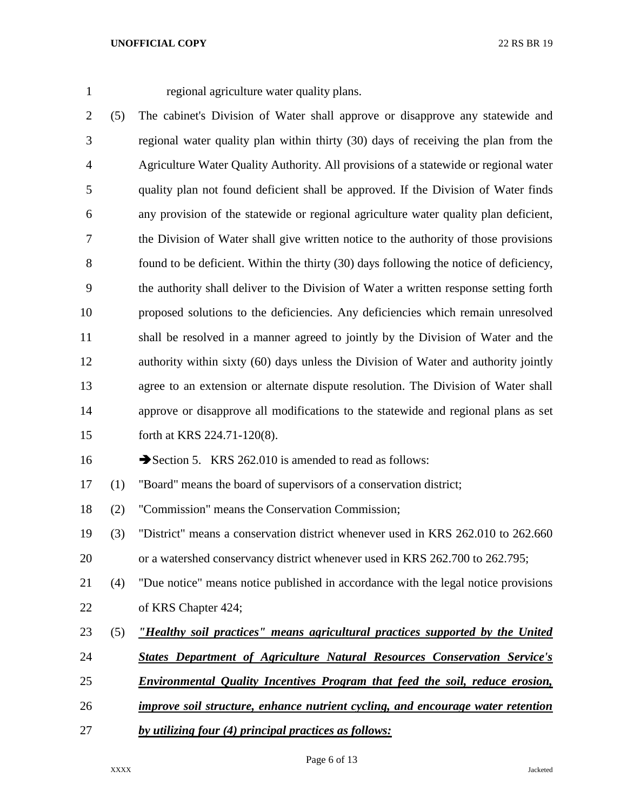regional agriculture water quality plans.

 (5) The cabinet's Division of Water shall approve or disapprove any statewide and regional water quality plan within thirty (30) days of receiving the plan from the Agriculture Water Quality Authority. All provisions of a statewide or regional water quality plan not found deficient shall be approved. If the Division of Water finds any provision of the statewide or regional agriculture water quality plan deficient, the Division of Water shall give written notice to the authority of those provisions 8 found to be deficient. Within the thirty (30) days following the notice of deficiency, the authority shall deliver to the Division of Water a written response setting forth proposed solutions to the deficiencies. Any deficiencies which remain unresolved shall be resolved in a manner agreed to jointly by the Division of Water and the authority within sixty (60) days unless the Division of Water and authority jointly agree to an extension or alternate dispute resolution. The Division of Water shall approve or disapprove all modifications to the statewide and regional plans as set forth at KRS 224.71-120(8).

16 Section 5. KRS 262.010 is amended to read as follows:

(1) "Board" means the board of supervisors of a conservation district;

(2) "Commission" means the Conservation Commission;

 (3) "District" means a conservation district whenever used in KRS 262.010 to 262.660 or a watershed conservancy district whenever used in KRS 262.700 to 262.795;

 (4) "Due notice" means notice published in accordance with the legal notice provisions of KRS Chapter 424;

- (5) *"Healthy soil practices" means agricultural practices supported by the United*
- *States Department of Agriculture Natural Resources Conservation Service's*
- *Environmental Quality Incentives Program that feed the soil, reduce erosion,*
- *improve soil structure, enhance nutrient cycling, and encourage water retention*
- *by utilizing four (4) principal practices as follows:*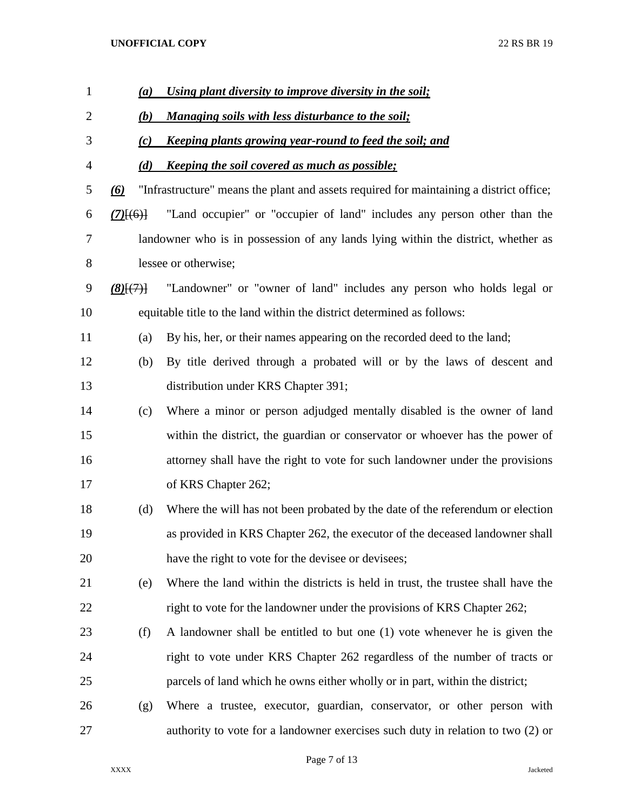| $\mathbf{1}$   | (a)               | Using plant diversity to improve diversity in the soil;                                 |
|----------------|-------------------|-----------------------------------------------------------------------------------------|
| $\mathbf{2}$   | (b)               | <b>Managing soils with less disturbance to the soil;</b>                                |
| 3              | (c)               | <u>Keeping plants growing year-round to feed the soil; and</u>                          |
| $\overline{4}$ | (d)               | <u><b>Keeping the soil covered as much as possible;</b></u>                             |
| 5              | $\left( 6\right)$ | "Infrastructure" means the plant and assets required for maintaining a district office; |
| 6              | $(7)$ $(6)$       | "Land occupier" or "occupier of land" includes any person other than the                |
| 7              |                   | landowner who is in possession of any lands lying within the district, whether as       |
| 8              |                   | lessee or otherwise;                                                                    |
| 9              | $(8)$ $\{7\}$     | "Landowner" or "owner of land" includes any person who holds legal or                   |
| 10             |                   | equitable title to the land within the district determined as follows:                  |
| 11             | (a)               | By his, her, or their names appearing on the recorded deed to the land;                 |
| 12             | (b)               | By title derived through a probated will or by the laws of descent and                  |
| 13             |                   | distribution under KRS Chapter 391;                                                     |
| 14             | (c)               | Where a minor or person adjudged mentally disabled is the owner of land                 |
| 15             |                   | within the district, the guardian or conservator or whoever has the power of            |
| 16             |                   | attorney shall have the right to vote for such landowner under the provisions           |
| 17             |                   | of KRS Chapter 262;                                                                     |
| 18             | (d)               | Where the will has not been probated by the date of the referendum or election          |
| 19             |                   | as provided in KRS Chapter 262, the executor of the deceased landowner shall            |
| 20             |                   | have the right to vote for the devisee or devisees;                                     |
| 21             | (e)               | Where the land within the districts is held in trust, the trustee shall have the        |
| 22             |                   | right to vote for the landowner under the provisions of KRS Chapter 262;                |
| 23             | (f)               | A landowner shall be entitled to but one (1) vote whenever he is given the              |
| 24             |                   | right to vote under KRS Chapter 262 regardless of the number of tracts or               |
| 25             |                   | parcels of land which he owns either wholly or in part, within the district;            |
| 26             | (g)               | Where a trustee, executor, guardian, conservator, or other person with                  |
| 27             |                   | authority to vote for a landowner exercises such duty in relation to two (2) or         |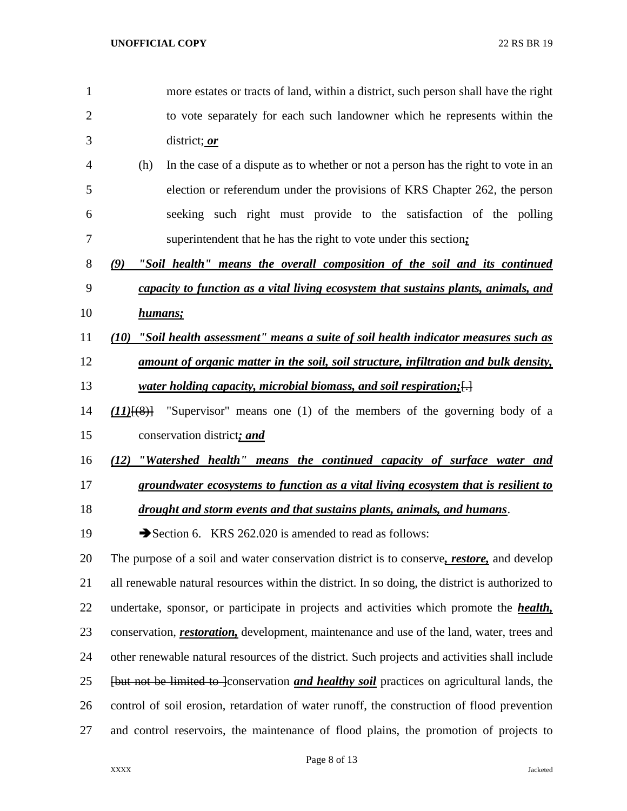more estates or tracts of land, within a district, such person shall have the right to vote separately for each such landowner which he represents within the district; *or* (h) In the case of a dispute as to whether or not a person has the right to vote in an election or referendum under the provisions of KRS Chapter 262, the person seeking such right must provide to the satisfaction of the polling superintendent that he has the right to vote under this section*; (9) "Soil health" means the overall composition of the soil and its continued capacity to function as a vital living ecosystem that sustains plants, animals, and humans; (10) "Soil health assessment" means a suite of soil health indicator measures such as amount of organic matter in the soil, soil structure, infiltration and bulk density, water holding capacity, microbial biomass, and soil respiration;*[.] *(11)*[(8)] "Supervisor" means one (1) of the members of the governing body of a conservation district*; and (12) "Watershed health" means the continued capacity of surface water and groundwater ecosystems to function as a vital living ecosystem that is resilient to drought and storm events and that sustains plants, animals, and humans*. 19 Section 6. KRS 262.020 is amended to read as follows: The purpose of a soil and water conservation district is to conserve*, restore,* and develop all renewable natural resources within the district. In so doing, the district is authorized to undertake, sponsor, or participate in projects and activities which promote the *health,*  conservation, *restoration,* development, maintenance and use of the land, water, trees and other renewable natural resources of the district. Such projects and activities shall include [but not be limited to ]conservation *and healthy soil* practices on agricultural lands, the control of soil erosion, retardation of water runoff, the construction of flood prevention and control reservoirs, the maintenance of flood plains, the promotion of projects to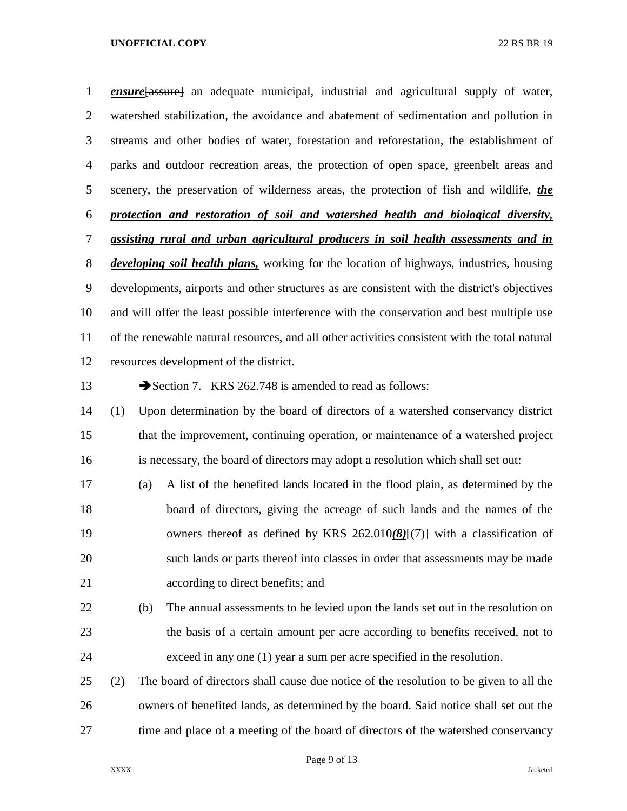*ensure*[assure] an adequate municipal, industrial and agricultural supply of water, watershed stabilization, the avoidance and abatement of sedimentation and pollution in streams and other bodies of water, forestation and reforestation, the establishment of parks and outdoor recreation areas, the protection of open space, greenbelt areas and scenery, the preservation of wilderness areas, the protection of fish and wildlife, *the protection and restoration of soil and watershed health and biological diversity, assisting rural and urban agricultural producers in soil health assessments and in developing soil health plans,* working for the location of highways, industries, housing developments, airports and other structures as are consistent with the district's objectives and will offer the least possible interference with the conservation and best multiple use of the renewable natural resources, and all other activities consistent with the total natural resources development of the district.

13 Section 7. KRS 262.748 is amended to read as follows:

 (1) Upon determination by the board of directors of a watershed conservancy district that the improvement, continuing operation, or maintenance of a watershed project is necessary, the board of directors may adopt a resolution which shall set out:

- (a) A list of the benefited lands located in the flood plain, as determined by the board of directors, giving the acreage of such lands and the names of the owners thereof as defined by KRS 262.010*(8)*[(7)] with a classification of such lands or parts thereof into classes in order that assessments may be made according to direct benefits; and
- (b) The annual assessments to be levied upon the lands set out in the resolution on the basis of a certain amount per acre according to benefits received, not to exceed in any one (1) year a sum per acre specified in the resolution.
- (2) The board of directors shall cause due notice of the resolution to be given to all the owners of benefited lands, as determined by the board. Said notice shall set out the time and place of a meeting of the board of directors of the watershed conservancy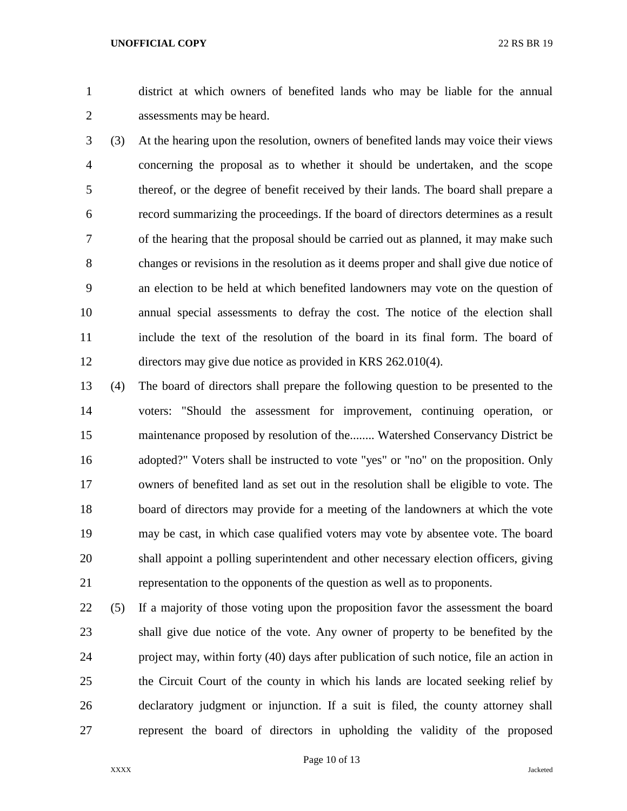district at which owners of benefited lands who may be liable for the annual assessments may be heard.

 (3) At the hearing upon the resolution, owners of benefited lands may voice their views concerning the proposal as to whether it should be undertaken, and the scope thereof, or the degree of benefit received by their lands. The board shall prepare a record summarizing the proceedings. If the board of directors determines as a result of the hearing that the proposal should be carried out as planned, it may make such changes or revisions in the resolution as it deems proper and shall give due notice of an election to be held at which benefited landowners may vote on the question of annual special assessments to defray the cost. The notice of the election shall include the text of the resolution of the board in its final form. The board of directors may give due notice as provided in KRS 262.010(4).

 (4) The board of directors shall prepare the following question to be presented to the voters: "Should the assessment for improvement, continuing operation, or maintenance proposed by resolution of the........ Watershed Conservancy District be adopted?" Voters shall be instructed to vote "yes" or "no" on the proposition. Only owners of benefited land as set out in the resolution shall be eligible to vote. The board of directors may provide for a meeting of the landowners at which the vote may be cast, in which case qualified voters may vote by absentee vote. The board shall appoint a polling superintendent and other necessary election officers, giving representation to the opponents of the question as well as to proponents.

 (5) If a majority of those voting upon the proposition favor the assessment the board shall give due notice of the vote. Any owner of property to be benefited by the project may, within forty (40) days after publication of such notice, file an action in the Circuit Court of the county in which his lands are located seeking relief by declaratory judgment or injunction. If a suit is filed, the county attorney shall represent the board of directors in upholding the validity of the proposed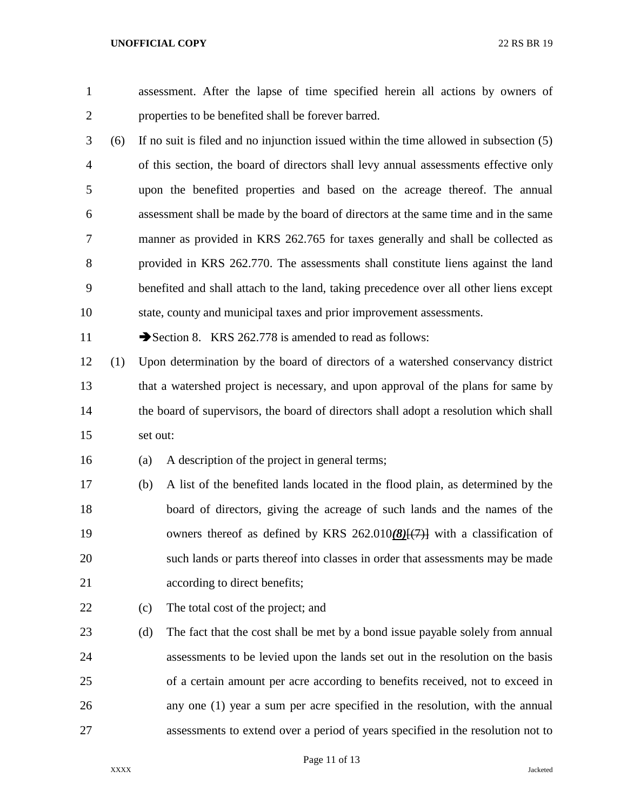assessment. After the lapse of time specified herein all actions by owners of properties to be benefited shall be forever barred. (6) If no suit is filed and no injunction issued within the time allowed in subsection (5) of this section, the board of directors shall levy annual assessments effective only upon the benefited properties and based on the acreage thereof. The annual assessment shall be made by the board of directors at the same time and in the same manner as provided in KRS 262.765 for taxes generally and shall be collected as provided in KRS 262.770. The assessments shall constitute liens against the land benefited and shall attach to the land, taking precedence over all other liens except state, county and municipal taxes and prior improvement assessments. 11 Section 8. KRS 262.778 is amended to read as follows: (1) Upon determination by the board of directors of a watershed conservancy district that a watershed project is necessary, and upon approval of the plans for same by 14 the board of supervisors, the board of directors shall adopt a resolution which shall set out: (a) A description of the project in general terms; (b) A list of the benefited lands located in the flood plain, as determined by the board of directors, giving the acreage of such lands and the names of the owners thereof as defined by KRS 262.010*(8)*[(7)] with a classification of such lands or parts thereof into classes in order that assessments may be made according to direct benefits; (c) The total cost of the project; and (d) The fact that the cost shall be met by a bond issue payable solely from annual assessments to be levied upon the lands set out in the resolution on the basis of a certain amount per acre according to benefits received, not to exceed in any one (1) year a sum per acre specified in the resolution, with the annual assessments to extend over a period of years specified in the resolution not to

# Page 11 of 13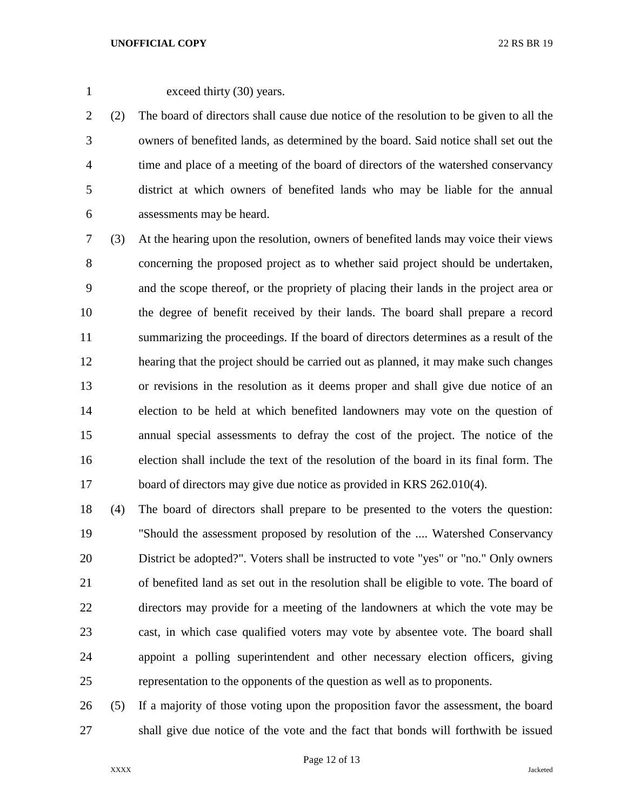exceed thirty (30) years.

 (2) The board of directors shall cause due notice of the resolution to be given to all the owners of benefited lands, as determined by the board. Said notice shall set out the time and place of a meeting of the board of directors of the watershed conservancy district at which owners of benefited lands who may be liable for the annual assessments may be heard.

 (3) At the hearing upon the resolution, owners of benefited lands may voice their views concerning the proposed project as to whether said project should be undertaken, and the scope thereof, or the propriety of placing their lands in the project area or the degree of benefit received by their lands. The board shall prepare a record summarizing the proceedings. If the board of directors determines as a result of the hearing that the project should be carried out as planned, it may make such changes or revisions in the resolution as it deems proper and shall give due notice of an election to be held at which benefited landowners may vote on the question of annual special assessments to defray the cost of the project. The notice of the election shall include the text of the resolution of the board in its final form. The 17 board of directors may give due notice as provided in KRS 262.010(4).

 (4) The board of directors shall prepare to be presented to the voters the question: "Should the assessment proposed by resolution of the .... Watershed Conservancy District be adopted?". Voters shall be instructed to vote "yes" or "no." Only owners of benefited land as set out in the resolution shall be eligible to vote. The board of directors may provide for a meeting of the landowners at which the vote may be cast, in which case qualified voters may vote by absentee vote. The board shall appoint a polling superintendent and other necessary election officers, giving representation to the opponents of the question as well as to proponents.

 (5) If a majority of those voting upon the proposition favor the assessment, the board shall give due notice of the vote and the fact that bonds will forthwith be issued